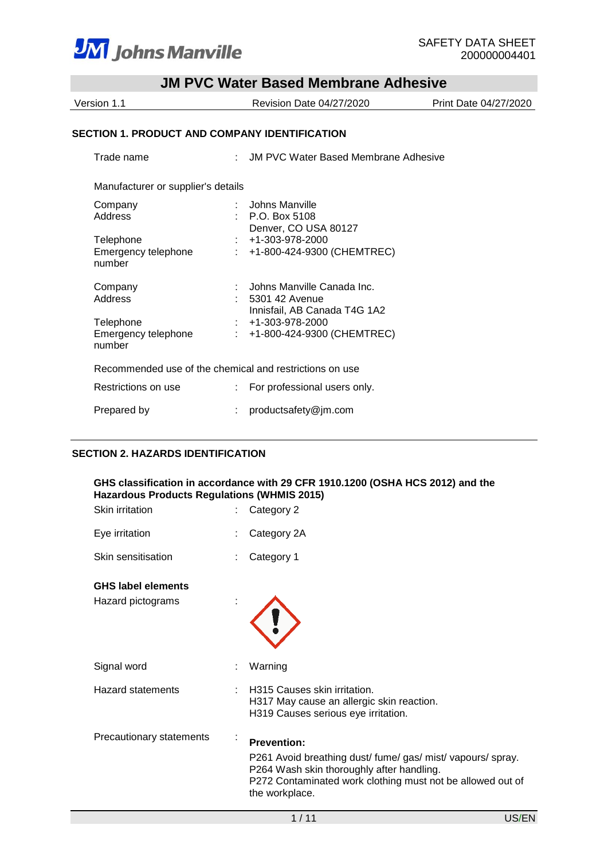

| JM PVC Water Based Memorane Adnesive                 |                                                         |  |                       |  |
|------------------------------------------------------|---------------------------------------------------------|--|-----------------------|--|
| Version 1.1                                          | Revision Date 04/27/2020                                |  | Print Date 04/27/2020 |  |
|                                                      |                                                         |  |                       |  |
| <b>SECTION 1. PRODUCT AND COMPANY IDENTIFICATION</b> |                                                         |  |                       |  |
| Trade name                                           | : JM PVC Water Based Membrane Adhesive                  |  |                       |  |
| Manufacturer or supplier's details                   |                                                         |  |                       |  |
| Company                                              | Johns Manville                                          |  |                       |  |
| Address                                              | $\therefore$ P.O. Box 5108                              |  |                       |  |
|                                                      | Denver, CO USA 80127                                    |  |                       |  |
| Telephone                                            | +1-303-978-2000                                         |  |                       |  |
| Emergency telephone<br>number                        | +1-800-424-9300 (CHEMTREC)                              |  |                       |  |
| Company                                              | Johns Manville Canada Inc.                              |  |                       |  |
| Address                                              | 5301 42 Avenue                                          |  |                       |  |
|                                                      | Innisfail, AB Canada T4G 1A2                            |  |                       |  |
| Telephone                                            | +1-303-978-2000                                         |  |                       |  |
| Emergency telephone<br>number                        | +1-800-424-9300 (CHEMTREC)                              |  |                       |  |
|                                                      | Recommended use of the chemical and restrictions on use |  |                       |  |
| Restrictions on use                                  | For professional users only.                            |  |                       |  |
| Prepared by                                          | productsafety@jm.com                                    |  |                       |  |

# **SECTION 2. HAZARDS IDENTIFICATION**

| <b>Hazardous Products Regulations (WHMIS 2015)</b> |   | GHS classification in accordance with 29 CFR 1910.1200 (OSHA HCS 2012) and the                                                                                                           |
|----------------------------------------------------|---|------------------------------------------------------------------------------------------------------------------------------------------------------------------------------------------|
| Skin irritation                                    |   | Category 2                                                                                                                                                                               |
| Eye irritation                                     |   | Category 2A                                                                                                                                                                              |
| Skin sensitisation                                 |   | Category 1                                                                                                                                                                               |
| <b>GHS label elements</b>                          |   |                                                                                                                                                                                          |
| Hazard pictograms                                  |   |                                                                                                                                                                                          |
| Signal word                                        |   | Warning                                                                                                                                                                                  |
| <b>Hazard statements</b>                           |   | H315 Causes skin irritation.<br>H317 May cause an allergic skin reaction.<br>H319 Causes serious eye irritation.                                                                         |
| Precautionary statements                           | ٠ | <b>Prevention:</b>                                                                                                                                                                       |
|                                                    |   | P261 Avoid breathing dust/ fume/ gas/ mist/ vapours/ spray.<br>P264 Wash skin thoroughly after handling.<br>P272 Contaminated work clothing must not be allowed out of<br>the workplace. |
|                                                    |   | 1/11<br>US/EN                                                                                                                                                                            |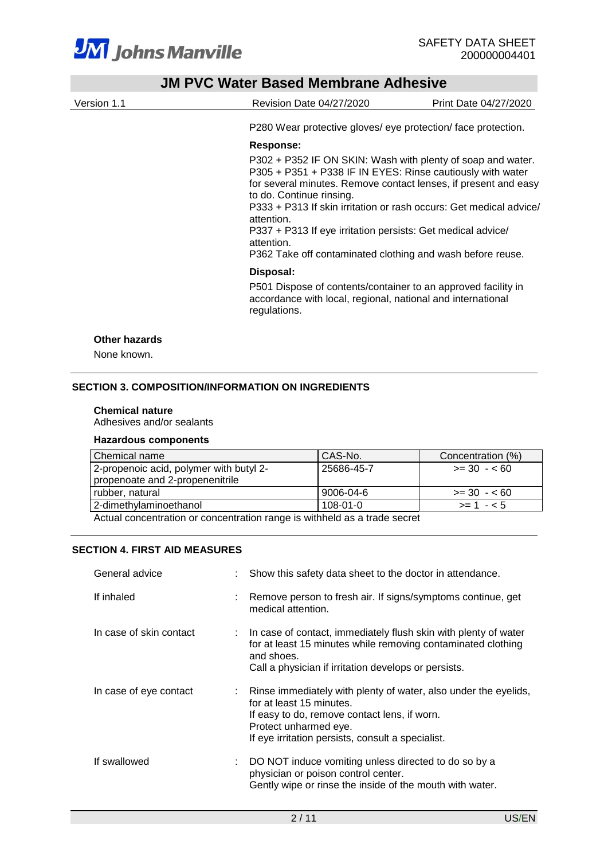

| Version 1.1   | Revision Date 04/27/2020                                                                                                                                                                                                                                                                                                                                                                                                                                | Print Date 04/27/2020 |
|---------------|---------------------------------------------------------------------------------------------------------------------------------------------------------------------------------------------------------------------------------------------------------------------------------------------------------------------------------------------------------------------------------------------------------------------------------------------------------|-----------------------|
|               | P280 Wear protective gloves/ eye protection/ face protection.                                                                                                                                                                                                                                                                                                                                                                                           |                       |
|               | Response:                                                                                                                                                                                                                                                                                                                                                                                                                                               |                       |
|               | P302 + P352 IF ON SKIN: Wash with plenty of soap and water.<br>P305 + P351 + P338 IF IN EYES: Rinse cautiously with water<br>for several minutes. Remove contact lenses, if present and easy<br>to do. Continue rinsing.<br>P333 + P313 If skin irritation or rash occurs: Get medical advice/<br>attention.<br>P337 + P313 If eye irritation persists: Get medical advice/<br>attention.<br>P362 Take off contaminated clothing and wash before reuse. |                       |
|               | Disposal:                                                                                                                                                                                                                                                                                                                                                                                                                                               |                       |
|               | P501 Dispose of contents/container to an approved facility in<br>accordance with local, regional, national and international<br>regulations.                                                                                                                                                                                                                                                                                                            |                       |
| Other hazards |                                                                                                                                                                                                                                                                                                                                                                                                                                                         |                       |
| None known.   |                                                                                                                                                                                                                                                                                                                                                                                                                                                         |                       |

#### **Chemical nature**

Adhesives and/or sealants

#### **Hazardous components**

| l Chemical name                                                           | CAS-No.        | Concentration (%) |  |  |  |
|---------------------------------------------------------------------------|----------------|-------------------|--|--|--|
| 2-propenoic acid, polymer with butyl 2-                                   | 25686-45-7     | $>= 30 - 60$      |  |  |  |
| propenoate and 2-propenenitrile                                           |                |                   |  |  |  |
| rubber. natural                                                           | 9006-04-6      | $>= 30 - 60$      |  |  |  |
| l 2-dimethylaminoethanol                                                  | $108 - 01 - 0$ | $>= 1 - 5$        |  |  |  |
| Actual concentration or concentration range is withhold as a trade secret |                |                   |  |  |  |

Actual concentration or concentration range is withheld as a trade secret

## **SECTION 4. FIRST AID MEASURES**

| General advice          |    | Show this safety data sheet to the doctor in attendance.                                                                                                                                                                  |
|-------------------------|----|---------------------------------------------------------------------------------------------------------------------------------------------------------------------------------------------------------------------------|
| If inhaled              |    | Remove person to fresh air. If signs/symptoms continue, get<br>medical attention.                                                                                                                                         |
| In case of skin contact |    | : In case of contact, immediately flush skin with plenty of water<br>for at least 15 minutes while removing contaminated clothing<br>and shoes.<br>Call a physician if irritation develops or persists.                   |
| In case of eye contact  | t. | Rinse immediately with plenty of water, also under the eyelids,<br>for at least 15 minutes.<br>If easy to do, remove contact lens, if worn.<br>Protect unharmed eye.<br>If eye irritation persists, consult a specialist. |
| If swallowed            |    | DO NOT induce vomiting unless directed to do so by a<br>physician or poison control center.<br>Gently wipe or rinse the inside of the mouth with water.                                                                   |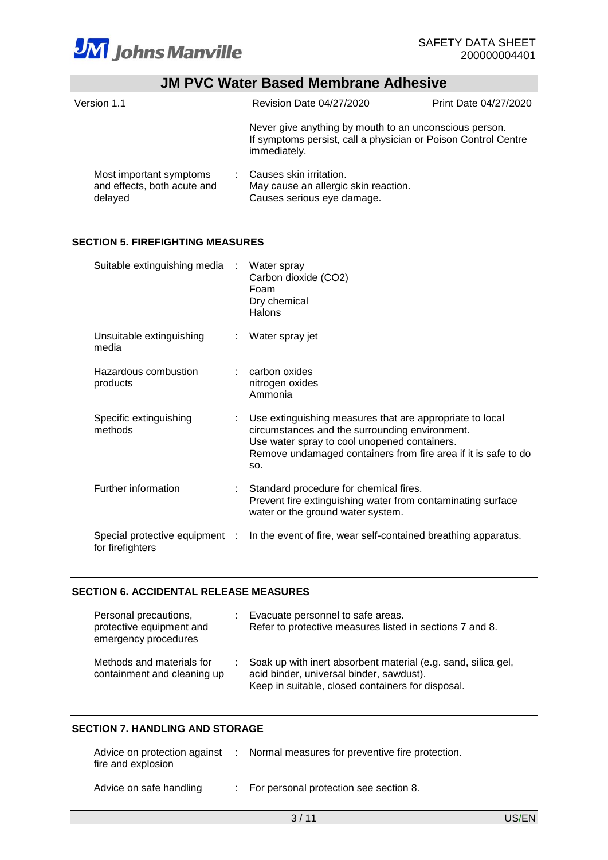

| Version 1.1                                                       |                                                                                                                                          | Revision Date 04/27/2020                                                                      | Print Date 04/27/2020 |
|-------------------------------------------------------------------|------------------------------------------------------------------------------------------------------------------------------------------|-----------------------------------------------------------------------------------------------|-----------------------|
|                                                                   | Never give anything by mouth to an unconscious person.<br>If symptoms persist, call a physician or Poison Control Centre<br>immediately. |                                                                                               |                       |
| Most important symptoms<br>and effects, both acute and<br>delayed |                                                                                                                                          | Causes skin irritation.<br>May cause an allergic skin reaction.<br>Causes serious eye damage. |                       |

## **SECTION 5. FIREFIGHTING MEASURES**

| Suitable extinguishing media :                     |    | Water spray<br>Carbon dioxide (CO2)<br>Foam<br>Dry chemical<br><b>Halons</b>                                                                                                                                                        |
|----------------------------------------------------|----|-------------------------------------------------------------------------------------------------------------------------------------------------------------------------------------------------------------------------------------|
| Unsuitable extinguishing<br>media                  | ÷. | Water spray jet                                                                                                                                                                                                                     |
| Hazardous combustion<br>products                   |    | carbon oxides<br>nitrogen oxides<br>Ammonia                                                                                                                                                                                         |
| Specific extinguishing<br>methods                  |    | Use extinguishing measures that are appropriate to local<br>circumstances and the surrounding environment.<br>Use water spray to cool unopened containers.<br>Remove undamaged containers from fire area if it is safe to do<br>SO. |
| Further information                                |    | Standard procedure for chemical fires.<br>Prevent fire extinguishing water from contaminating surface<br>water or the ground water system.                                                                                          |
| Special protective equipment :<br>for firefighters |    | In the event of fire, wear self-contained breathing apparatus.                                                                                                                                                                      |

## **SECTION 6. ACCIDENTAL RELEASE MEASURES**

| Personal precautions,<br>protective equipment and<br>emergency procedures | : Evacuate personnel to safe areas.<br>Refer to protective measures listed in sections 7 and 8.                                                                  |
|---------------------------------------------------------------------------|------------------------------------------------------------------------------------------------------------------------------------------------------------------|
| Methods and materials for<br>containment and cleaning up                  | : Soak up with inert absorbent material (e.g. sand, silica gel,<br>acid binder, universal binder, sawdust).<br>Keep in suitable, closed containers for disposal. |

### **SECTION 7. HANDLING AND STORAGE**

| Advice on protection against<br>fire and explosion | : Normal measures for preventive fire protection. |
|----------------------------------------------------|---------------------------------------------------|
| Advice on safe handling                            | : For personal protection see section 8.          |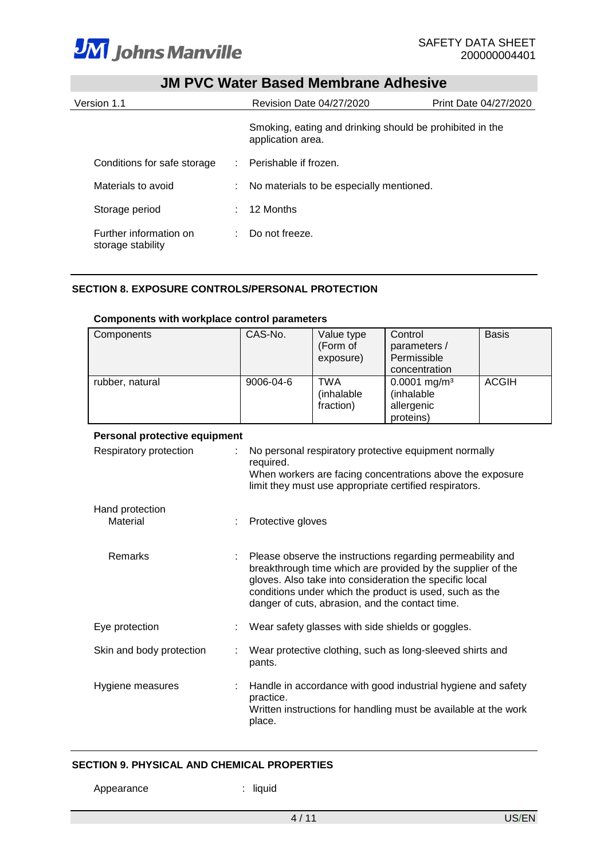

| JIVI F VU VVALGI DASGU IVIGIIIDI AIIG AUIIGSIVG |  |                                                                               |                       |  |  |
|-------------------------------------------------|--|-------------------------------------------------------------------------------|-----------------------|--|--|
| Version 1.1                                     |  | Revision Date 04/27/2020                                                      | Print Date 04/27/2020 |  |  |
|                                                 |  | Smoking, eating and drinking should be prohibited in the<br>application area. |                       |  |  |
| Conditions for safe storage                     |  | Perishable if frozen.                                                         |                       |  |  |
| Materials to avoid                              |  | : No materials to be especially mentioned.                                    |                       |  |  |
| Storage period                                  |  | 12 Months                                                                     |                       |  |  |
| Further information on<br>storage stability     |  | Do not freeze.                                                                |                       |  |  |

# **SECTION 8. EXPOSURE CONTROLS/PERSONAL PROTECTION**

| Components                    | CAS-No.             | Value type<br>(Form of<br>exposure)                       | Control<br>parameters /<br>Permissible<br>concentration                                                                                                                                                                                                                                            | <b>Basis</b> |  |  |
|-------------------------------|---------------------|-----------------------------------------------------------|----------------------------------------------------------------------------------------------------------------------------------------------------------------------------------------------------------------------------------------------------------------------------------------------------|--------------|--|--|
| rubber, natural               | 9006-04-6           | <b>TWA</b><br>(inhalable<br>fraction)                     | $0.0001$ mg/m <sup>3</sup><br>(inhalable<br>allergenic<br>proteins)                                                                                                                                                                                                                                | <b>ACGIH</b> |  |  |
| Personal protective equipment |                     |                                                           |                                                                                                                                                                                                                                                                                                    |              |  |  |
| Respiratory protection        | required.           |                                                           | No personal respiratory protective equipment normally<br>When workers are facing concentrations above the exposure<br>limit they must use appropriate certified respirators.                                                                                                                       |              |  |  |
| Hand protection<br>Material   | Protective gloves   |                                                           |                                                                                                                                                                                                                                                                                                    |              |  |  |
| Remarks                       |                     |                                                           | Please observe the instructions regarding permeability and<br>breakthrough time which are provided by the supplier of the<br>gloves. Also take into consideration the specific local<br>conditions under which the product is used, such as the<br>danger of cuts, abrasion, and the contact time. |              |  |  |
| Eye protection                |                     | Wear safety glasses with side shields or goggles.         |                                                                                                                                                                                                                                                                                                    |              |  |  |
| Skin and body protection      | pants.              | Wear protective clothing, such as long-sleeved shirts and |                                                                                                                                                                                                                                                                                                    |              |  |  |
| Hygiene measures              | practice.<br>place. |                                                           | Handle in accordance with good industrial hygiene and safety<br>Written instructions for handling must be available at the work                                                                                                                                                                    |              |  |  |

#### **Components with workplace control parameters**

# **SECTION 9. PHYSICAL AND CHEMICAL PROPERTIES**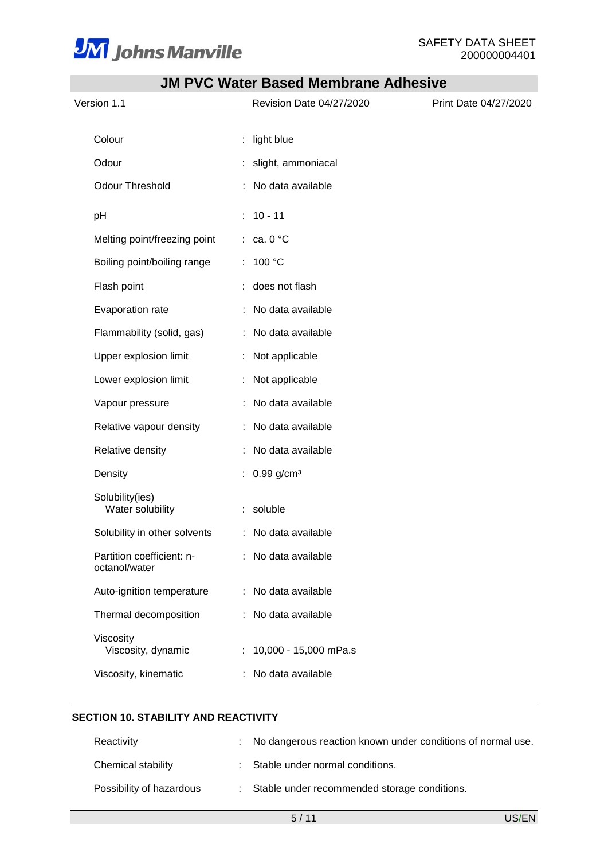

| Version 1.1                                | Revision Date 04/27/2020   | Print Date 04/27/2020 |
|--------------------------------------------|----------------------------|-----------------------|
|                                            |                            |                       |
| Colour                                     | light blue<br>t            |                       |
| Odour                                      | slight, ammoniacal         |                       |
| <b>Odour Threshold</b>                     | No data available          |                       |
| pH                                         | $10 - 11$<br>÷             |                       |
| Melting point/freezing point               | $\therefore$ ca. 0 °C      |                       |
| Boiling point/boiling range                | 100 °C<br>÷.               |                       |
| Flash point                                | does not flash             |                       |
| Evaporation rate                           | No data available          |                       |
| Flammability (solid, gas)                  | No data available          |                       |
| Upper explosion limit                      | Not applicable<br>÷        |                       |
| Lower explosion limit                      | Not applicable<br>÷        |                       |
| Vapour pressure                            | No data available          |                       |
| Relative vapour density                    | No data available          |                       |
| Relative density                           | No data available          |                       |
| Density                                    | $0.99$ g/cm <sup>3</sup>   |                       |
| Solubility(ies)<br>Water solubility        | soluble<br>÷               |                       |
| Solubility in other solvents               | : No data available        |                       |
| Partition coefficient: n-<br>octanol/water | No data available          |                       |
| Auto-ignition temperature                  | : No data available        |                       |
| Thermal decomposition                      | No data available          |                       |
| Viscosity<br>Viscosity, dynamic            | 10,000 - 15,000 mPa.s<br>÷ |                       |
| Viscosity, kinematic                       | No data available          |                       |

# **SECTION 10. STABILITY AND REACTIVITY**

| Reactivity               | : No dangerous reaction known under conditions of normal use. |
|--------------------------|---------------------------------------------------------------|
| Chemical stability       | : Stable under normal conditions.                             |
| Possibility of hazardous | : Stable under recommended storage conditions.                |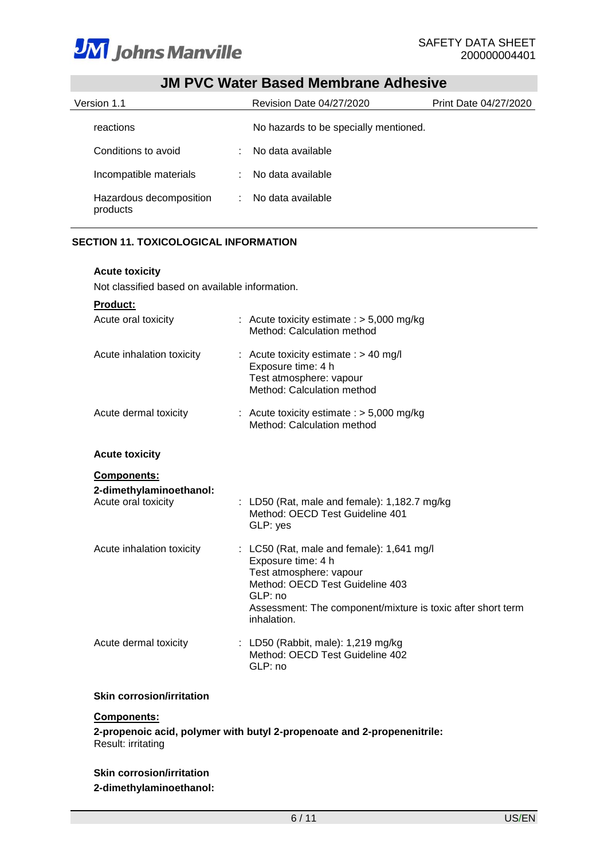

| JM PVC Water Based Membrane Adhesive |  |                                       |                       |
|--------------------------------------|--|---------------------------------------|-----------------------|
| Version 1.1                          |  | <b>Revision Date 04/27/2020</b>       | Print Date 04/27/2020 |
| reactions                            |  | No hazards to be specially mentioned. |                       |
| Conditions to avoid                  |  | No data available                     |                       |
| Incompatible materials               |  | No data available                     |                       |
| Hazardous decomposition<br>products  |  | No data available                     |                       |

# **SECTION 11. TOXICOLOGICAL INFORMATION**

# **Acute toxicity**

Not classified based on available information.

| <b>Product:</b>                                |                                                                                                                                                                                                                          |
|------------------------------------------------|--------------------------------------------------------------------------------------------------------------------------------------------------------------------------------------------------------------------------|
| Acute oral toxicity                            | : Acute toxicity estimate : $> 5,000$ mg/kg<br>Method: Calculation method                                                                                                                                                |
| Acute inhalation toxicity                      | : Acute toxicity estimate : $> 40$ mg/l<br>Exposure time: 4 h<br>Test atmosphere: vapour<br>Method: Calculation method                                                                                                   |
| Acute dermal toxicity                          | : Acute toxicity estimate : $>$ 5,000 mg/kg<br>Method: Calculation method                                                                                                                                                |
| <b>Acute toxicity</b>                          |                                                                                                                                                                                                                          |
| <b>Components:</b>                             |                                                                                                                                                                                                                          |
| 2-dimethylaminoethanol:<br>Acute oral toxicity | : LD50 (Rat, male and female): $1,182.7$ mg/kg<br>Method: OECD Test Guideline 401<br>GLP: yes                                                                                                                            |
| Acute inhalation toxicity                      | : LC50 (Rat, male and female): $1,641$ mg/l<br>Exposure time: 4 h<br>Test atmosphere: vapour<br>Method: OECD Test Guideline 403<br>GLP: no<br>Assessment: The component/mixture is toxic after short term<br>inhalation. |
| Acute dermal toxicity                          | : LD50 (Rabbit, male): $1,219$ mg/kg<br>Method: OECD Test Guideline 402<br>GLP: no                                                                                                                                       |

#### **Skin corrosion/irritation**

# **Components:**

**2-propenoic acid, polymer with butyl 2-propenoate and 2-propenenitrile:** Result: irritating

# **Skin corrosion/irritation 2-dimethylaminoethanol:**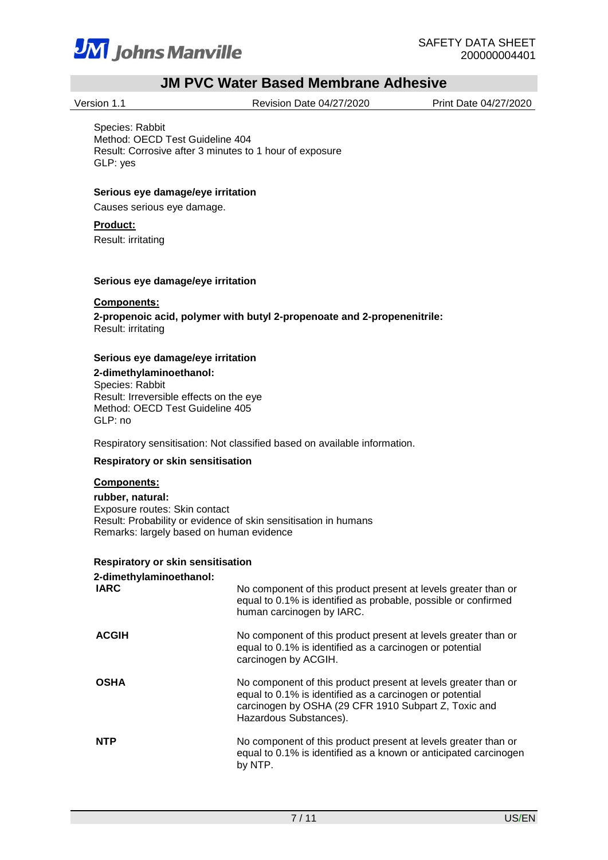

Version 1.1 Revision Date 04/27/2020 Print Date 04/27/2020

Species: Rabbit Method: OECD Test Guideline 404 Result: Corrosive after 3 minutes to 1 hour of exposure GLP: yes

## **Serious eye damage/eye irritation**

Causes serious eye damage.

#### **Product:**

Result: irritating

#### **Serious eye damage/eye irritation**

#### **Components:**

**2-propenoic acid, polymer with butyl 2-propenoate and 2-propenenitrile:** Result: irritating

#### **Serious eye damage/eye irritation**

**2-dimethylaminoethanol:** Species: Rabbit Result: Irreversible effects on the eye Method: OECD Test Guideline 405 GLP: no

Respiratory sensitisation: Not classified based on available information.

#### **Respiratory or skin sensitisation**

# **Components:**

**rubber, natural:** Exposure routes: Skin contact Result: Probability or evidence of skin sensitisation in humans Remarks: largely based on human evidence

# **Respiratory or skin sensitisation**

| 2-dimethylaminoethanol:<br><b>IARC</b> | No component of this product present at levels greater than or<br>equal to 0.1% is identified as probable, possible or confirmed<br>human carcinogen by IARC.                                                |
|----------------------------------------|--------------------------------------------------------------------------------------------------------------------------------------------------------------------------------------------------------------|
| <b>ACGIH</b>                           | No component of this product present at levels greater than or<br>equal to 0.1% is identified as a carcinogen or potential<br>carcinogen by ACGIH.                                                           |
| <b>OSHA</b>                            | No component of this product present at levels greater than or<br>equal to 0.1% is identified as a carcinogen or potential<br>carcinogen by OSHA (29 CFR 1910 Subpart Z, Toxic and<br>Hazardous Substances). |
| <b>NTP</b>                             | No component of this product present at levels greater than or<br>equal to 0.1% is identified as a known or anticipated carcinogen<br>by NTP.                                                                |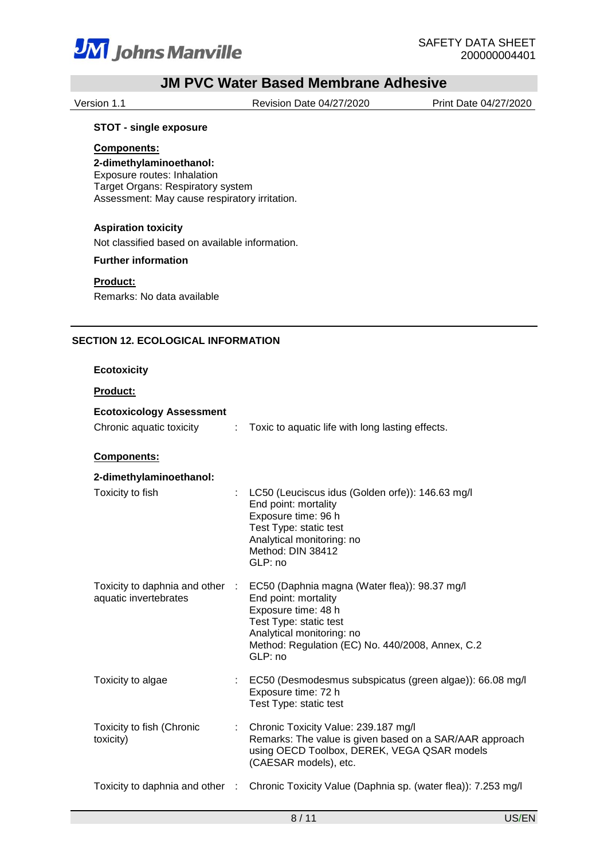

Version 1.1 Revision Date 04/27/2020 Print Date 04/27/2020

## **STOT - single exposure**

#### **Components:**

**2-dimethylaminoethanol:** Exposure routes: Inhalation

Target Organs: Respiratory system Assessment: May cause respiratory irritation.

## **Aspiration toxicity**

Not classified based on available information.

#### **Further information**

**Product:**

Remarks: No data available

### **SECTION 12. ECOLOGICAL INFORMATION**

#### **Ecotoxicity**

## **Product:**

| <b>Ecotoxicology Assessment</b> |                                                  |
|---------------------------------|--------------------------------------------------|
| Chronic aquatic toxicity        | Toxic to aquatic life with long lasting effects. |

## **Components:**

| 2-dimethylaminoethanol:                                  |                                                                                                                                                                                                                    |
|----------------------------------------------------------|--------------------------------------------------------------------------------------------------------------------------------------------------------------------------------------------------------------------|
| Toxicity to fish                                         | : LC50 (Leuciscus idus (Golden orfe)): 146.63 mg/l<br>End point: mortality<br>Exposure time: 96 h<br>Test Type: static test<br>Analytical monitoring: no<br>Method: DIN 38412<br>GLP: no                           |
| Toxicity to daphnia and other :<br>aquatic invertebrates | EC50 (Daphnia magna (Water flea)): 98.37 mg/l<br>End point: mortality<br>Exposure time: 48 h<br>Test Type: static test<br>Analytical monitoring: no<br>Method: Regulation (EC) No. 440/2008, Annex, C.2<br>GLP: no |
| Toxicity to algae                                        | : EC50 (Desmodesmus subspicatus (green algae)): 66.08 mg/l<br>Exposure time: 72 h<br>Test Type: static test                                                                                                        |
| Toxicity to fish (Chronic<br>toxicity)                   | : Chronic Toxicity Value: 239.187 mg/l<br>Remarks: The value is given based on a SAR/AAR approach<br>using OECD Toolbox, DEREK, VEGA QSAR models<br>(CAESAR models), etc.                                          |
| Toxicity to daphnia and other                            | Chronic Toxicity Value (Daphnia sp. (water flea)): 7.253 mg/l                                                                                                                                                      |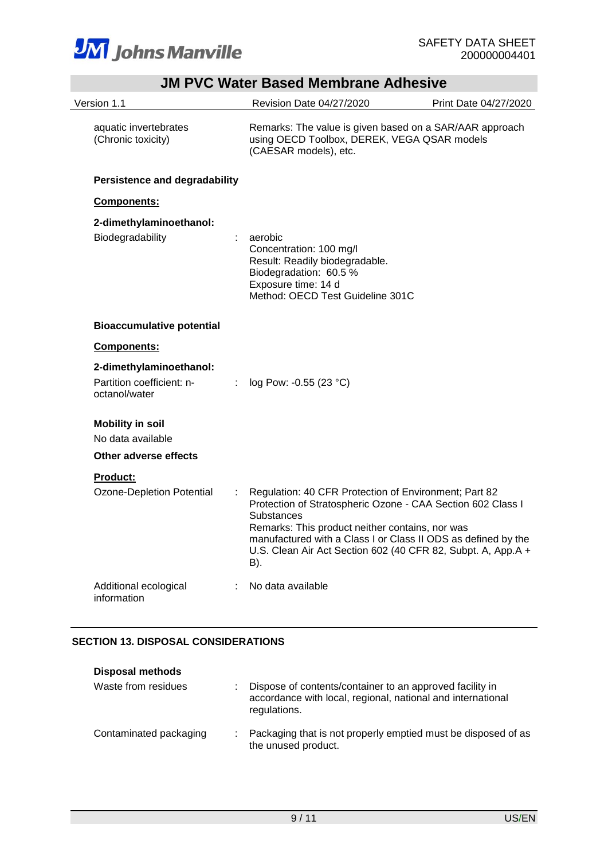

|                                                   | <b>JM PVC Water Based Membrane Adhesive</b>                                                                                                                                                                                                                                                                                          |                       |
|---------------------------------------------------|--------------------------------------------------------------------------------------------------------------------------------------------------------------------------------------------------------------------------------------------------------------------------------------------------------------------------------------|-----------------------|
| Version 1.1                                       | Revision Date 04/27/2020                                                                                                                                                                                                                                                                                                             | Print Date 04/27/2020 |
| aquatic invertebrates<br>(Chronic toxicity)       | Remarks: The value is given based on a SAR/AAR approach<br>using OECD Toolbox, DEREK, VEGA QSAR models<br>(CAESAR models), etc.                                                                                                                                                                                                      |                       |
| <b>Persistence and degradability</b>              |                                                                                                                                                                                                                                                                                                                                      |                       |
| <b>Components:</b>                                |                                                                                                                                                                                                                                                                                                                                      |                       |
| 2-dimethylaminoethanol:<br>Biodegradability<br>t. | aerobic<br>Concentration: 100 mg/l<br>Result: Readily biodegradable.                                                                                                                                                                                                                                                                 |                       |
|                                                   | Biodegradation: 60.5 %<br>Exposure time: 14 d<br>Method: OECD Test Guideline 301C                                                                                                                                                                                                                                                    |                       |
| <b>Bioaccumulative potential</b>                  |                                                                                                                                                                                                                                                                                                                                      |                       |
| Components:                                       |                                                                                                                                                                                                                                                                                                                                      |                       |
| 2-dimethylaminoethanol:                           |                                                                                                                                                                                                                                                                                                                                      |                       |
| Partition coefficient: n-<br>octanol/water        | : $log Pow: -0.55 (23 °C)$                                                                                                                                                                                                                                                                                                           |                       |
| <b>Mobility in soil</b>                           |                                                                                                                                                                                                                                                                                                                                      |                       |
| No data available                                 |                                                                                                                                                                                                                                                                                                                                      |                       |
| Other adverse effects                             |                                                                                                                                                                                                                                                                                                                                      |                       |
| <u>Product:</u>                                   |                                                                                                                                                                                                                                                                                                                                      |                       |
| Ozone-Depletion Potential                         | Regulation: 40 CFR Protection of Environment; Part 82<br>Protection of Stratospheric Ozone - CAA Section 602 Class I<br><b>Substances</b><br>Remarks: This product neither contains, nor was<br>manufactured with a Class I or Class II ODS as defined by the<br>U.S. Clean Air Act Section 602 (40 CFR 82, Subpt. A, App.A +<br>B). |                       |
| Additional ecological<br>information              | No data available                                                                                                                                                                                                                                                                                                                    |                       |

# **SECTION 13. DISPOSAL CONSIDERATIONS**

| <b>Disposal methods</b> |                                                                                                                                         |
|-------------------------|-----------------------------------------------------------------------------------------------------------------------------------------|
| Waste from residues     | Dispose of contents/container to an approved facility in<br>accordance with local, regional, national and international<br>regulations. |
| Contaminated packaging  | Packaging that is not properly emptied must be disposed of as<br>the unused product.                                                    |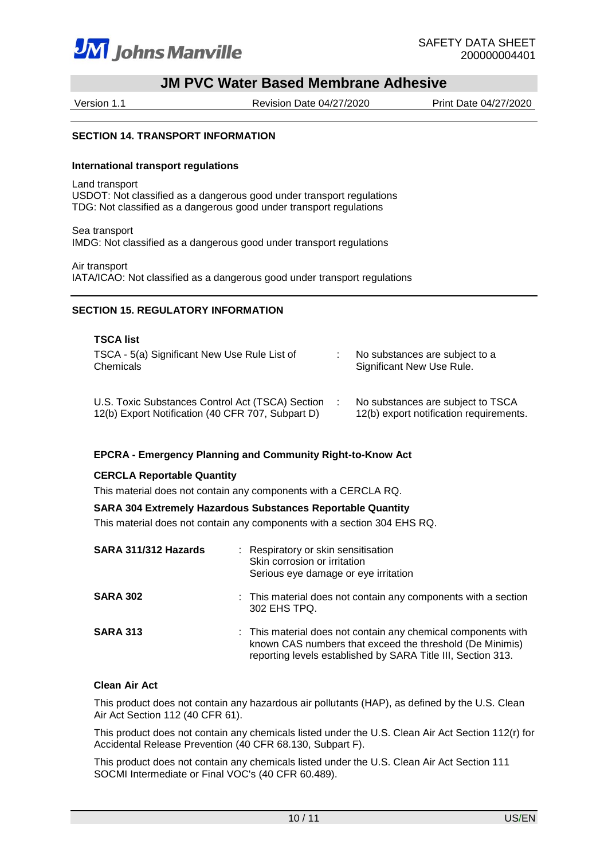

Version 1.1 Revision Date 04/27/2020 Print Date 04/27/2020

#### **SECTION 14. TRANSPORT INFORMATION**

#### **International transport regulations**

Land transport USDOT: Not classified as a dangerous good under transport regulations TDG: Not classified as a dangerous good under transport regulations

Sea transport IMDG: Not classified as a dangerous good under transport regulations

Air transport IATA/ICAO: Not classified as a dangerous good under transport regulations

#### **SECTION 15. REGULATORY INFORMATION**

| <b>TSCA list</b>                                                                                      |                                                                              |
|-------------------------------------------------------------------------------------------------------|------------------------------------------------------------------------------|
| TSCA - 5(a) Significant New Use Rule List of<br>Chemicals                                             | No substances are subject to a<br>Significant New Use Rule.                  |
| U.S. Toxic Substances Control Act (TSCA) Section<br>12(b) Export Notification (40 CFR 707, Subpart D) | No substances are subject to TSCA<br>12(b) export notification requirements. |

#### **EPCRA - Emergency Planning and Community Right-to-Know Act**

#### **CERCLA Reportable Quantity**

This material does not contain any components with a CERCLA RQ.

## **SARA 304 Extremely Hazardous Substances Reportable Quantity**

This material does not contain any components with a section 304 EHS RQ.

| SARA 311/312 Hazards | : Respiratory or skin sensitisation<br>Skin corrosion or irritation<br>Serious eye damage or eye irritation                                                                               |
|----------------------|-------------------------------------------------------------------------------------------------------------------------------------------------------------------------------------------|
| <b>SARA 302</b>      | : This material does not contain any components with a section<br>302 EHS TPQ.                                                                                                            |
| <b>SARA 313</b>      | : This material does not contain any chemical components with<br>known CAS numbers that exceed the threshold (De Minimis)<br>reporting levels established by SARA Title III, Section 313. |

#### **Clean Air Act**

This product does not contain any hazardous air pollutants (HAP), as defined by the U.S. Clean Air Act Section 112 (40 CFR 61).

This product does not contain any chemicals listed under the U.S. Clean Air Act Section 112(r) for Accidental Release Prevention (40 CFR 68.130, Subpart F).

This product does not contain any chemicals listed under the U.S. Clean Air Act Section 111 SOCMI Intermediate or Final VOC's (40 CFR 60.489).